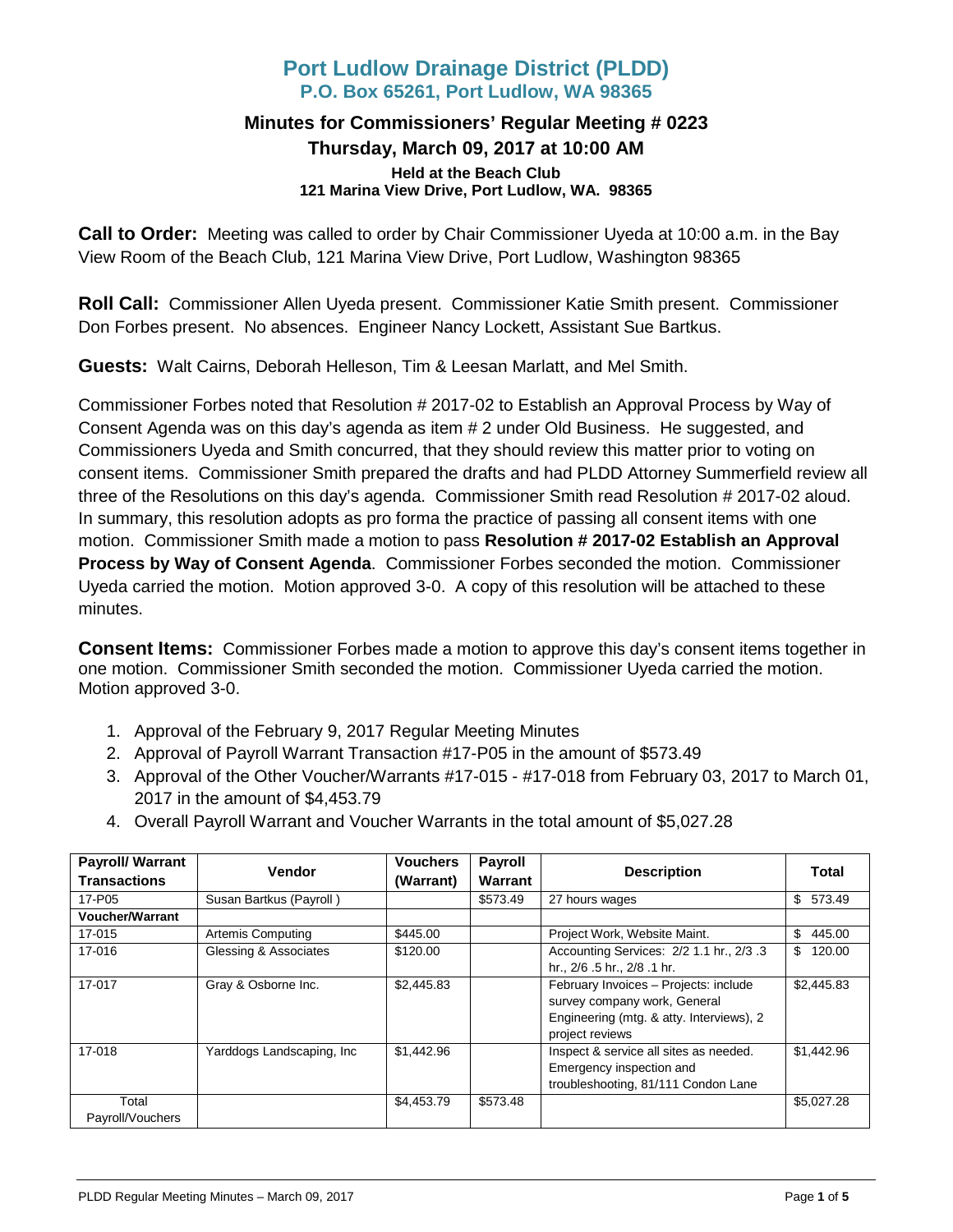# **Port Ludlow Drainage District (PLDD) P.O. Box 65261, Port Ludlow, WA 98365**

#### **Minutes for Commissioners' Regular Meeting # 0223 Thursday, March 09, 2017 at 10:00 AM Held at the Beach Club 121 Marina View Drive, Port Ludlow, WA. 98365**

**Call to Order:** Meeting was called to order by Chair Commissioner Uyeda at 10:00 a.m. in the Bay View Room of the Beach Club, 121 Marina View Drive, Port Ludlow, Washington 98365

**Roll Call:** Commissioner Allen Uyeda present. Commissioner Katie Smith present. Commissioner Don Forbes present. No absences. Engineer Nancy Lockett, Assistant Sue Bartkus.

**Guests:** Walt Cairns, Deborah Helleson, Tim & Leesan Marlatt, and Mel Smith.

Commissioner Forbes noted that Resolution # 2017-02 to Establish an Approval Process by Way of Consent Agenda was on this day's agenda as item # 2 under Old Business. He suggested, and Commissioners Uyeda and Smith concurred, that they should review this matter prior to voting on consent items. Commissioner Smith prepared the drafts and had PLDD Attorney Summerfield review all three of the Resolutions on this day's agenda. Commissioner Smith read Resolution # 2017-02 aloud. In summary, this resolution adopts as pro forma the practice of passing all consent items with one motion. Commissioner Smith made a motion to pass **Resolution # 2017-02 Establish an Approval Process by Way of Consent Agenda**. Commissioner Forbes seconded the motion. Commissioner Uyeda carried the motion. Motion approved 3-0. A copy of this resolution will be attached to these minutes.

**Consent Items:** Commissioner Forbes made a motion to approve this day's consent items together in one motion. Commissioner Smith seconded the motion. Commissioner Uyeda carried the motion. Motion approved 3-0.

- 1. Approval of the February 9, 2017 Regular Meeting Minutes
- 2. Approval of Payroll Warrant Transaction #17-P05 in the amount of \$573.49
- 3. Approval of the Other Voucher/Warrants #17-015 #17-018 from February 03, 2017 to March 01, 2017 in the amount of \$4,453.79
- 4. Overall Payroll Warrant and Voucher Warrants in the total amount of \$5,027.28

| <b>Payroll/ Warrant</b><br><b>Transactions</b> | Vendor                     | <b>Vouchers</b><br>(Warrant) | <b>Payroll</b><br>Warrant | <b>Description</b>                                                                                                                   | Total         |
|------------------------------------------------|----------------------------|------------------------------|---------------------------|--------------------------------------------------------------------------------------------------------------------------------------|---------------|
| 17-P05                                         | Susan Bartkus (Payroll)    |                              | \$573.49                  | 27 hours wages                                                                                                                       | 573.49<br>\$  |
| <b>Voucher/Warrant</b>                         |                            |                              |                           |                                                                                                                                      |               |
| 17-015                                         | <b>Artemis Computing</b>   | \$445.00                     |                           | Project Work, Website Maint.                                                                                                         | 445.00<br>\$  |
| 17-016                                         | Glessing & Associates      | \$120.00                     |                           | Accounting Services: 2/2 1.1 hr., 2/3 .3<br>hr., 2/6 .5 hr., 2/8 .1 hr.                                                              | 120.00<br>\$. |
| 17-017                                         | Gray & Osborne Inc.        | \$2,445.83                   |                           | February Invoices - Projects: include<br>survey company work, General<br>Engineering (mtg. & atty. Interviews), 2<br>project reviews | \$2,445.83    |
| 17-018                                         | Yarddogs Landscaping, Inc. | \$1,442.96                   |                           | Inspect & service all sites as needed.<br>Emergency inspection and<br>troubleshooting, 81/111 Condon Lane                            | \$1,442.96    |
| Total<br>Payroll/Vouchers                      |                            | \$4,453.79                   | \$573.48                  |                                                                                                                                      | \$5,027.28    |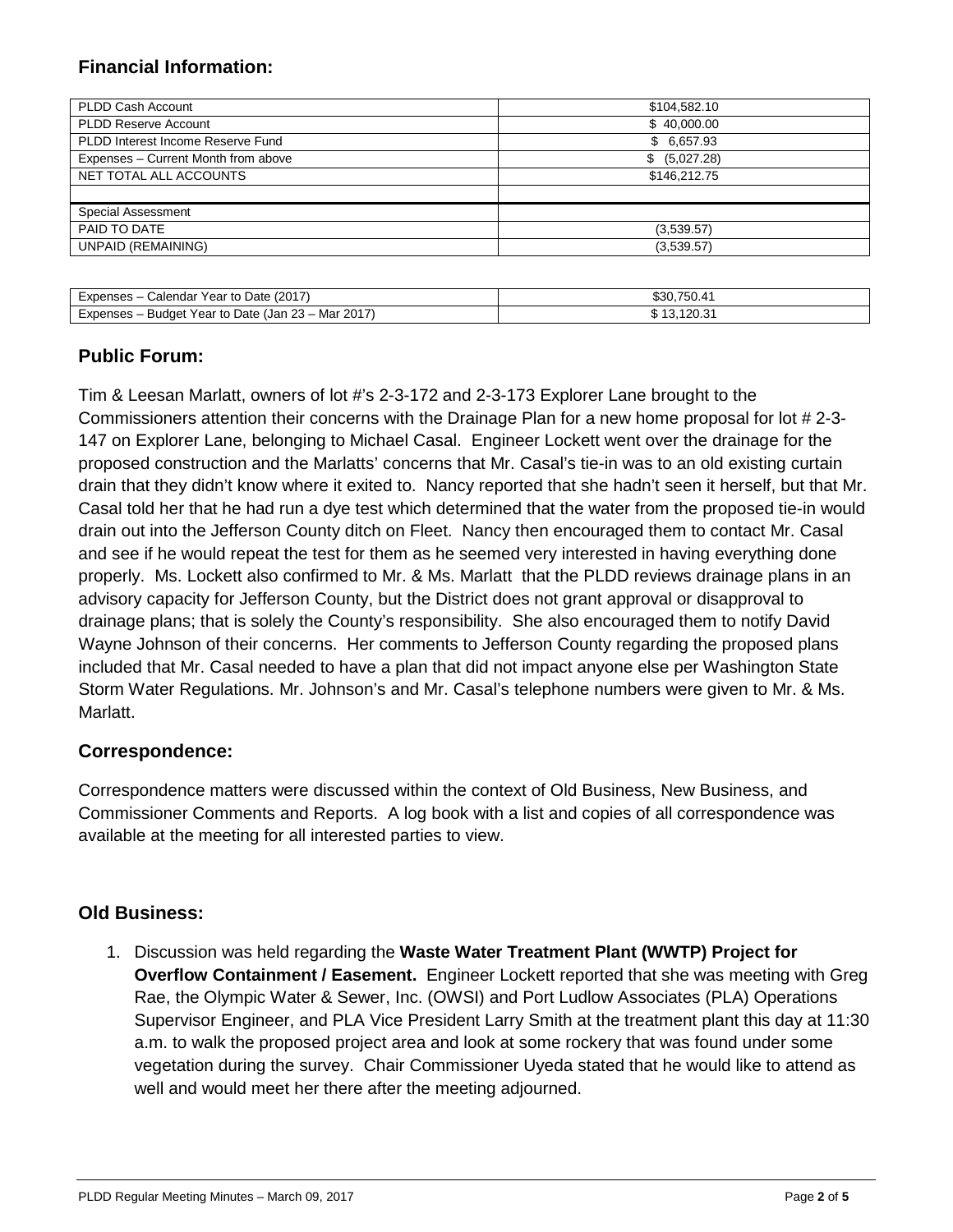## **Financial Information:**

| PLDD Cash Account                   | \$104,582.10  |
|-------------------------------------|---------------|
| <b>PLDD Reserve Account</b>         | \$40,000.00   |
| PLDD Interest Income Reserve Fund   | \$6,657.93    |
| Expenses - Current Month from above | \$ (5,027.28) |
| NET TOTAL ALL ACCOUNTS              | \$146,212.75  |
|                                     |               |
| Special Assessment                  |               |
| PAID TO DATE                        | (3,539.57)    |
| <b>UNPAID (REMAINING)</b>           | (3,539.57)    |
|                                     |               |

| Calendar Year to Date (2017)<br>Expenses – 0       | \$30.750.41 |
|----------------------------------------------------|-------------|
| Expenses – Budget Year to Date (Jan 23 – Mar 2017) | 13.120.31   |

### **Public Forum:**

Tim & Leesan Marlatt, owners of lot #'s 2-3-172 and 2-3-173 Explorer Lane brought to the Commissioners attention their concerns with the Drainage Plan for a new home proposal for lot # 2-3- 147 on Explorer Lane, belonging to Michael Casal. Engineer Lockett went over the drainage for the proposed construction and the Marlatts' concerns that Mr. Casal's tie-in was to an old existing curtain drain that they didn't know where it exited to. Nancy reported that she hadn't seen it herself, but that Mr. Casal told her that he had run a dye test which determined that the water from the proposed tie-in would drain out into the Jefferson County ditch on Fleet. Nancy then encouraged them to contact Mr. Casal and see if he would repeat the test for them as he seemed very interested in having everything done properly. Ms. Lockett also confirmed to Mr. & Ms. Marlatt that the PLDD reviews drainage plans in an advisory capacity for Jefferson County, but the District does not grant approval or disapproval to drainage plans; that is solely the County's responsibility. She also encouraged them to notify David Wayne Johnson of their concerns. Her comments to Jefferson County regarding the proposed plans included that Mr. Casal needed to have a plan that did not impact anyone else per Washington State Storm Water Regulations. Mr. Johnson's and Mr. Casal's telephone numbers were given to Mr. & Ms. Marlatt.

### **Correspondence:**

Correspondence matters were discussed within the context of Old Business, New Business, and Commissioner Comments and Reports. A log book with a list and copies of all correspondence was available at the meeting for all interested parties to view.

### **Old Business:**

1. Discussion was held regarding the **Waste Water Treatment Plant (WWTP) Project for Overflow Containment / Easement.** Engineer Lockett reported that she was meeting with Greg Rae, the Olympic Water & Sewer, Inc. (OWSI) and Port Ludlow Associates (PLA) Operations Supervisor Engineer, and PLA Vice President Larry Smith at the treatment plant this day at 11:30 a.m. to walk the proposed project area and look at some rockery that was found under some vegetation during the survey. Chair Commissioner Uyeda stated that he would like to attend as well and would meet her there after the meeting adjourned.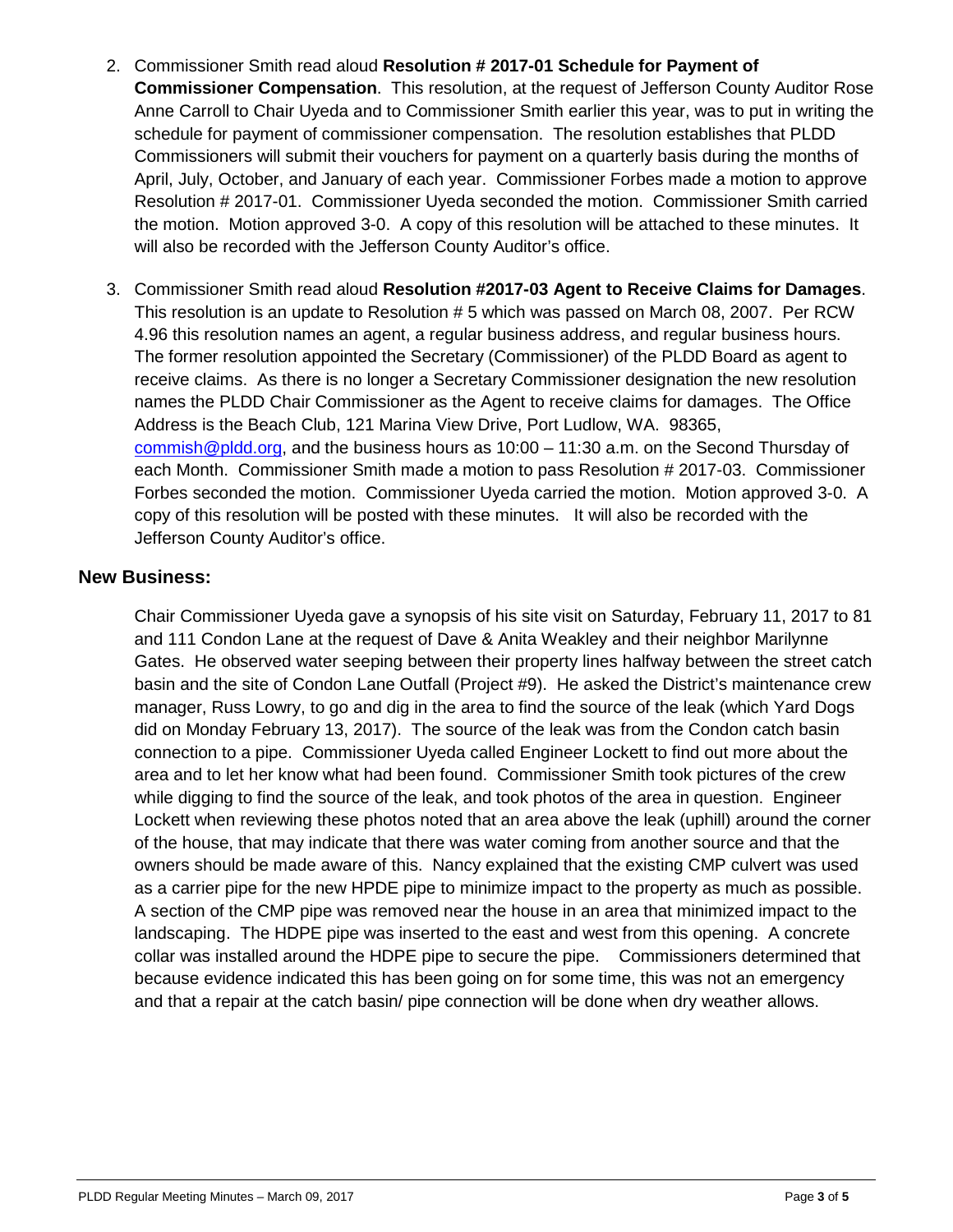- 2. Commissioner Smith read aloud **Resolution # 2017-01 Schedule for Payment of Commissioner Compensation**. This resolution, at the request of Jefferson County Auditor Rose Anne Carroll to Chair Uyeda and to Commissioner Smith earlier this year, was to put in writing the schedule for payment of commissioner compensation. The resolution establishes that PLDD Commissioners will submit their vouchers for payment on a quarterly basis during the months of April, July, October, and January of each year. Commissioner Forbes made a motion to approve Resolution # 2017-01. Commissioner Uyeda seconded the motion. Commissioner Smith carried the motion. Motion approved 3-0. A copy of this resolution will be attached to these minutes. It will also be recorded with the Jefferson County Auditor's office.
- 3. Commissioner Smith read aloud **Resolution #2017-03 Agent to Receive Claims for Damages**. This resolution is an update to Resolution # 5 which was passed on March 08, 2007. Per RCW 4.96 this resolution names an agent, a regular business address, and regular business hours. The former resolution appointed the Secretary (Commissioner) of the PLDD Board as agent to receive claims. As there is no longer a Secretary Commissioner designation the new resolution names the PLDD Chair Commissioner as the Agent to receive claims for damages. The Office Address is the Beach Club, 121 Marina View Drive, Port Ludlow, WA. 98365, [commish@pldd.org,](mailto:commish@pldd.org) and the business hours as 10:00 – 11:30 a.m. on the Second Thursday of each Month. Commissioner Smith made a motion to pass Resolution # 2017-03. Commissioner Forbes seconded the motion. Commissioner Uyeda carried the motion. Motion approved 3-0. A copy of this resolution will be posted with these minutes. It will also be recorded with the Jefferson County Auditor's office.

### **New Business:**

Chair Commissioner Uyeda gave a synopsis of his site visit on Saturday, February 11, 2017 to 81 and 111 Condon Lane at the request of Dave & Anita Weakley and their neighbor Marilynne Gates. He observed water seeping between their property lines halfway between the street catch basin and the site of Condon Lane Outfall (Project #9). He asked the District's maintenance crew manager, Russ Lowry, to go and dig in the area to find the source of the leak (which Yard Dogs did on Monday February 13, 2017). The source of the leak was from the Condon catch basin connection to a pipe. Commissioner Uyeda called Engineer Lockett to find out more about the area and to let her know what had been found. Commissioner Smith took pictures of the crew while digging to find the source of the leak, and took photos of the area in question. Engineer Lockett when reviewing these photos noted that an area above the leak (uphill) around the corner of the house, that may indicate that there was water coming from another source and that the owners should be made aware of this. Nancy explained that the existing CMP culvert was used as a carrier pipe for the new HPDE pipe to minimize impact to the property as much as possible. A section of the CMP pipe was removed near the house in an area that minimized impact to the landscaping. The HDPE pipe was inserted to the east and west from this opening. A concrete collar was installed around the HDPE pipe to secure the pipe. Commissioners determined that because evidence indicated this has been going on for some time, this was not an emergency and that a repair at the catch basin/ pipe connection will be done when dry weather allows.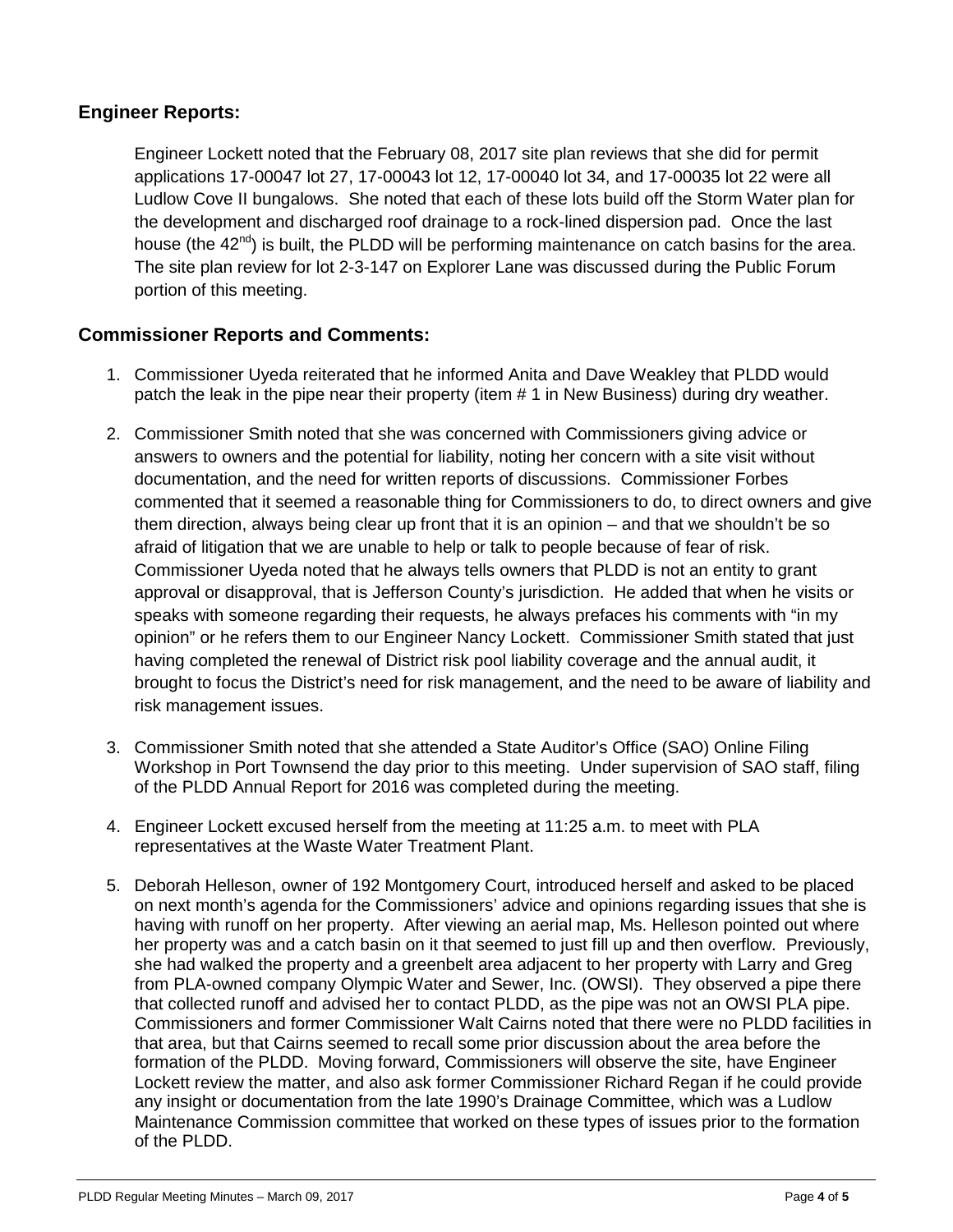### **Engineer Reports:**

Engineer Lockett noted that the February 08, 2017 site plan reviews that she did for permit applications 17-00047 lot 27, 17-00043 lot 12, 17-00040 lot 34, and 17-00035 lot 22 were all Ludlow Cove II bungalows. She noted that each of these lots build off the Storm Water plan for the development and discharged roof drainage to a rock-lined dispersion pad. Once the last house (the  $42<sup>nd</sup>$ ) is built, the PLDD will be performing maintenance on catch basins for the area. The site plan review for lot 2-3-147 on Explorer Lane was discussed during the Public Forum portion of this meeting.

### **Commissioner Reports and Comments:**

- 1. Commissioner Uyeda reiterated that he informed Anita and Dave Weakley that PLDD would patch the leak in the pipe near their property (item # 1 in New Business) during dry weather.
- 2. Commissioner Smith noted that she was concerned with Commissioners giving advice or answers to owners and the potential for liability, noting her concern with a site visit without documentation, and the need for written reports of discussions. Commissioner Forbes commented that it seemed a reasonable thing for Commissioners to do, to direct owners and give them direction, always being clear up front that it is an opinion – and that we shouldn't be so afraid of litigation that we are unable to help or talk to people because of fear of risk. Commissioner Uyeda noted that he always tells owners that PLDD is not an entity to grant approval or disapproval, that is Jefferson County's jurisdiction. He added that when he visits or speaks with someone regarding their requests, he always prefaces his comments with "in my opinion" or he refers them to our Engineer Nancy Lockett. Commissioner Smith stated that just having completed the renewal of District risk pool liability coverage and the annual audit, it brought to focus the District's need for risk management, and the need to be aware of liability and risk management issues.
- 3. Commissioner Smith noted that she attended a State Auditor's Office (SAO) Online Filing Workshop in Port Townsend the day prior to this meeting. Under supervision of SAO staff, filing of the PLDD Annual Report for 2016 was completed during the meeting.
- 4. Engineer Lockett excused herself from the meeting at 11:25 a.m. to meet with PLA representatives at the Waste Water Treatment Plant.
- 5. Deborah Helleson, owner of 192 Montgomery Court, introduced herself and asked to be placed on next month's agenda for the Commissioners' advice and opinions regarding issues that she is having with runoff on her property. After viewing an aerial map, Ms. Helleson pointed out where her property was and a catch basin on it that seemed to just fill up and then overflow. Previously, she had walked the property and a greenbelt area adjacent to her property with Larry and Greg from PLA-owned company Olympic Water and Sewer, Inc. (OWSI). They observed a pipe there that collected runoff and advised her to contact PLDD, as the pipe was not an OWSI PLA pipe. Commissioners and former Commissioner Walt Cairns noted that there were no PLDD facilities in that area, but that Cairns seemed to recall some prior discussion about the area before the formation of the PLDD. Moving forward, Commissioners will observe the site, have Engineer Lockett review the matter, and also ask former Commissioner Richard Regan if he could provide any insight or documentation from the late 1990's Drainage Committee, which was a Ludlow Maintenance Commission committee that worked on these types of issues prior to the formation of the PLDD.